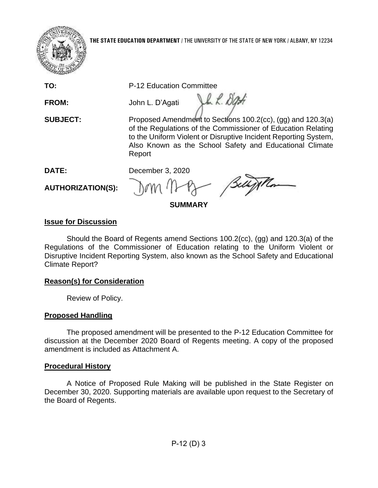

**THE STATE EDUCATION DEPARTMENT** / THE UNIVERSITY OF THE STATE OF NEW YORK / ALBANY, NY 12234

**TO:** P-12 Education Committee

**FROM:** John L. D'Agati

**SUBJECT:** Proposed Amendment to Sections 100.2(cc), (gg) and 120.3(a) of the Regulations of the Commissioner of Education Relating to the Uniform Violent or Disruptive Incident Reporting System, Also Known as the School Safety and Educational Climate Report

Jh L. Dat

**DATE:** December 3, 2020

**AUTHORIZATION(S):** 

**SUMMARY** 

# **Issue for Discussion**

 Disruptive Incident Reporting System, also known as the School Safety and Educational Should the Board of Regents amend Sections 100.2(cc), (gg) and 120.3(a) of the Regulations of the Commissioner of Education relating to the Uniform Violent or Climate Report?

# **Reason(s) for Consideration**

Review of Policy.

## **Proposed Handling**

 The proposed amendment will be presented to the P-12 Education Committee for discussion at the December 2020 Board of Regents meeting. A copy of the proposed amendment is included as Attachment A.

## **Procedural History**

 A Notice of Proposed Rule Making will be published in the State Register on December 30, 2020. Supporting materials are available upon request to the Secretary of the Board of Regents.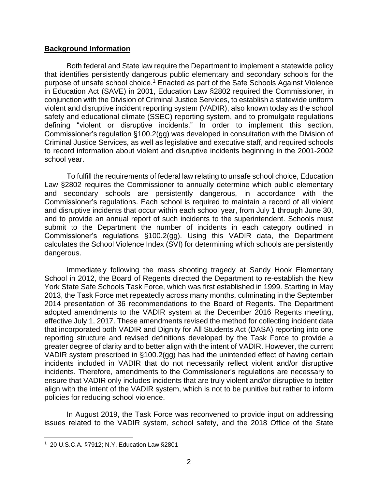#### **Background Information**

purpose of unsafe school choice.<sup>1</sup> Enacted as part of the Safe Schools Against Violence in Education Act (SAVE) in 2001, Education Law §2802 required the Commissioner, in conjunction with the Division of Criminal Justice Services, to establish a statewide uniform to record information about violent and disruptive incidents beginning in the 2001-2002 Both federal and State law require the Department to implement a statewide policy that identifies persistently dangerous public elementary and secondary schools for the violent and disruptive incident reporting system (VADIR), also known today as the school safety and educational climate (SSEC) reporting system, and to promulgate regulations defining "violent or disruptive incidents." In order to implement this section, Commissioner's regulation §100.2(gg) was developed in consultation with the Division of Criminal Justice Services, as well as legislative and executive staff, and required schools school year.

 To fulfill the requirements of federal law relating to unsafe school choice, Education Law §2802 requires the Commissioner to annually determine which public elementary Commissioner's regulations. Each school is required to maintain a record of all violent and to provide an annual report of such incidents to the superintendent. Schools must submit to the Department the number of incidents in each category outlined in and secondary schools are persistently dangerous, in accordance with the and disruptive incidents that occur within each school year, from July 1 through June 30, Commissioner's regulations §100.2(gg). Using this VADIR data, the Department calculates the School Violence Index (SVI) for determining which schools are persistently dangerous.

 effective July 1, 2017. These amendments revised the method for collecting incident data reporting structure and revised definitions developed by the Task Force to provide a greater degree of clarity and to better align with the intent of VADIR. However, the current VADIR system prescribed in §100.2(gg) has had the unintended effect of having certain incidents included in VADIR that do not necessarily reflect violent and/or disruptive ensure that VADIR only includes incidents that are truly violent and/or disruptive to better Immediately following the mass shooting tragedy at Sandy Hook Elementary School in 2012, the Board of Regents directed the Department to re-establish the New York State Safe Schools Task Force, which was first established in 1999. Starting in May 2013, the Task Force met repeatedly across many months, culminating in the September 2014 presentation of 36 recommendations to the Board of Regents. The Department adopted amendments to the VADIR system at the December 2016 Regents meeting, that incorporated both VADIR and Dignity for All Students Act (DASA) reporting into one incidents. Therefore, amendments to the Commissioner's regulations are necessary to align with the intent of the VADIR system, which is not to be punitive but rather to inform policies for reducing school violence.

 In August 2019, the Task Force was reconvened to provide input on addressing issues related to the VADIR system, school safety, and the 2018 Office of the State

 1 20 U.S.C.A. §7912; N.Y. Education Law §2801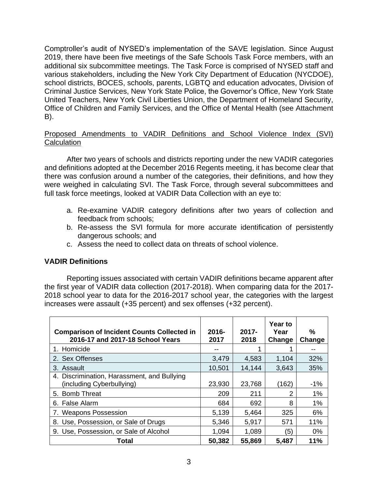2019, there have been five meetings of the Safe Schools Task Force members, with an Comptroller's audit of NYSED's implementation of the SAVE legislation. Since August additional six subcommittee meetings. The Task Force is comprised of NYSED staff and various stakeholders, including the New York City Department of Education (NYCDOE), school districts, BOCES, schools, parents, LGBTQ and education advocates, Division of Criminal Justice Services, New York State Police, the Governor's Office, New York State United Teachers, New York Civil Liberties Union, the Department of Homeland Security, Office of Children and Family Services, and the Office of Mental Health (see Attachment B).

#### Proposed Amendments to VADIR Definitions and School Violence Index (SVI) **Calculation**

 there was confusion around a number of the categories, their definitions, and how they were weighed in calculating SVI. The Task Force, through several subcommittees and After two years of schools and districts reporting under the new VADIR categories and definitions adopted at the December 2016 Regents meeting, it has become clear that full task force meetings, looked at VADIR Data Collection with an eye to:

- a. Re-examine VADIR category definitions after two years of collection and feedback from schools;
- b. Re-assess the SVI formula for more accurate identification of persistently dangerous schools; and
- c. Assess the need to collect data on threats of school violence.

## **VADIR Definitions**

Reporting issues associated with certain VADIR definitions became apparent after the first year of VADIR data collection (2017-2018). When comparing data for the 2017- 2018 school year to data for the 2016-2017 school year, the categories with the largest increases were assault (+35 percent) and sex offenses (+32 percent).

| <b>Comparison of Incident Counts Collected in</b><br>2016-17 and 2017-18 School Years | $2016 -$<br>2017 | $2017 -$<br>2018 | <b>Year to</b><br>Year<br>Change | %<br>Change |
|---------------------------------------------------------------------------------------|------------------|------------------|----------------------------------|-------------|
| 1. Homicide                                                                           |                  |                  |                                  |             |
| 2. Sex Offenses                                                                       | 3,479            | 4,583            | 1,104                            | 32%         |
| 3. Assault                                                                            | 10,501           | 14,144           | 3,643                            | 35%         |
| 4. Discrimination, Harassment, and Bullying<br>(including Cyberbullying)              | 23,930           | 23,768           | (162)                            | $-1%$       |
| 5. Bomb Threat                                                                        | 209              | 211              | 2                                | 1%          |
| 6. False Alarm                                                                        | 684              | 692              | 8                                | 1%          |
| 7. Weapons Possession                                                                 | 5,139            | 5,464            | 325                              | 6%          |
| 8. Use, Possession, or Sale of Drugs                                                  | 5,346            | 5,917            | 571                              | 11%         |
| 9. Use, Possession, or Sale of Alcohol                                                | 1,094            | 1,089            | (5)                              | $0\%$       |
| Total                                                                                 | 50,382           | 55,869           | 5,487                            | 11%         |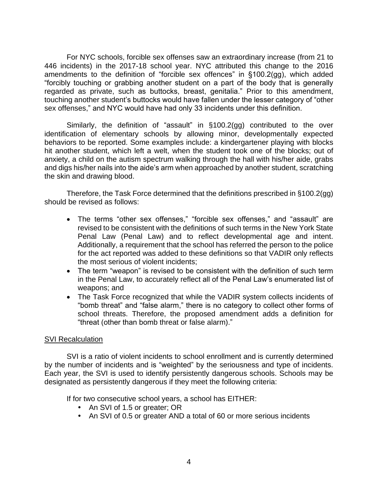"forcibly touching or grabbing another student on a part of the body that is generally For NYC schools, forcible sex offenses saw an extraordinary increase (from 21 to 446 incidents) in the 2017-18 school year. NYC attributed this change to the 2016 amendments to the definition of "forcible sex offences" in §100.2(gg), which added regarded as private, such as buttocks, breast, genitalia." Prior to this amendment, touching another student's buttocks would have fallen under the lesser category of "other sex offenses," and NYC would have had only 33 incidents under this definition.

Similarly, the definition of "assault" in §100.2(gg) contributed to the over identification of elementary schools by allowing minor, developmentally expected behaviors to be reported. Some examples include: a kindergartener playing with blocks hit another student, which left a welt, when the student took one of the blocks; out of anxiety, a child on the autism spectrum walking through the hall with his/her aide, grabs and digs his/her nails into the aide's arm when approached by another student, scratching the skin and drawing blood.

Therefore, the Task Force determined that the definitions prescribed in §100.2(gg) should be revised as follows:

- • The terms "other sex offenses," "forcible sex offenses," and "assault" are Penal Law (Penal Law) and to reflect developmental age and intent. revised to be consistent with the definitions of such terms in the New York State Additionally, a requirement that the school has referred the person to the police for the act reported was added to these definitions so that VADIR only reflects the most serious of violent incidents;
- The term "weapon" is revised to be consistent with the definition of such term in the Penal Law, to accurately reflect all of the Penal Law's enumerated list of weapons; and
- "bomb threat" and "false alarm," there is no category to collect other forms of • The Task Force recognized that while the VADIR system collects incidents of school threats. Therefore, the proposed amendment adds a definition for "threat (other than bomb threat or false alarm)."

#### SVI Recalculation

 by the number of incidents and is "weighted" by the seriousness and type of incidents. SVI is a ratio of violent incidents to school enrollment and is currently determined Each year, the SVI is used to identify persistently dangerous schools. Schools may be designated as persistently dangerous if they meet the following criteria:

If for two consecutive school years, a school has EITHER:

- An SVI of 1.5 or greater; OR
- An SVI of 0.5 or greater AND a total of 60 or more serious incidents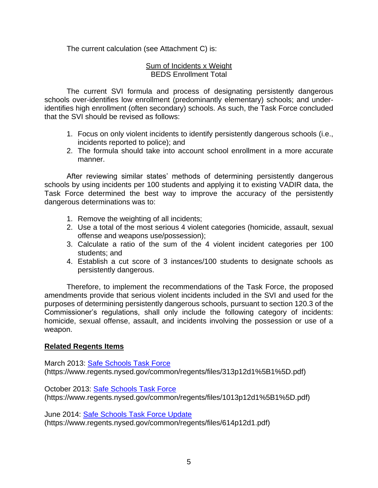The current calculation (see Attachment C) is:

#### Sum of Incidents x Weight BEDS Enrollment Total

 The current SVI formula and process of designating persistently dangerous schools over-identifies low enrollment (predominantly elementary) schools; and underidentifies high enrollment (often secondary) schools. As such, the Task Force concluded that the SVI should be revised as follows:

- 1. Focus on only violent incidents to identify persistently dangerous schools (i.e., incidents reported to police); and
- 2. The formula should take into account school enrollment in a more accurate manner.

 Task Force determined the best way to improve the accuracy of the persistently After reviewing similar states' methods of determining persistently dangerous schools by using incidents per 100 students and applying it to existing VADIR data, the dangerous determinations was to:

- 1. Remove the weighting of all incidents;
- 2. Use a total of the most serious 4 violent categories (homicide, assault, sexual offense and weapons use/possession);
- 3. Calculate a ratio of the sum of the 4 violent incident categories per 100 students; and
- 4. Establish a cut score of 3 instances/100 students to designate schools as persistently dangerous.

 purposes of determining persistently dangerous schools, pursuant to section 120.3 of the homicide, sexual offense, assault, and incidents involving the possession or use of a Therefore, to implement the recommendations of the Task Force, the proposed amendments provide that serious violent incidents included in the SVI and used for the Commissioner's regulations, shall only include the following category of incidents: weapon.

#### **Related Regents Items**

March 2013: [Safe Schools Task Force](https://www.regents.nysed.gov/common/regents/files/313p12d1%5B1%5D.pdf)  (https://www.regents.nysed.gov/common/regents/files/313p12d1%5B1%5D.pdf)

October 2013: [Safe Schools Task Force](https://www.regents.nysed.gov/common/regents/files/1013p12d1%5B1%5D.pdf)  (https://www.regents.nysed.gov/common/regents/files/1013p12d1%5B1%5D.pdf)

June 2014: [Safe Schools Task Force Update](https://www.regents.nysed.gov/common/regents/files/614p12d1.pdf)  (https://www.regents.nysed.gov/common/regents/files/614p12d1.pdf)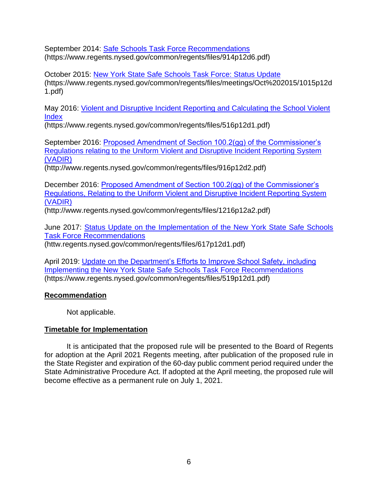September 2014: [Safe Schools Task Force Recommendations](https://www.regents.nysed.gov/common/regents/files/914p12d6.pdf)  (https://www.regents.nysed.gov/common/regents/files/914p12d6.pdf)

October 2015: [New York State Safe Schools Task Force: Status Update](https://www.regents.nysed.gov/common/regents/files/meetings/Oct%202015/1015p12d1.pdf)  (https:/[/www.regents.nysed.gov/common/regents/files/meetings/Oct%202015/1015p12d](http://www.regents.nysed.gov/common/regents/files/meetings/Oct%202015/1015p12d1)  [1](http://www.regents.nysed.gov/common/regents/files/meetings/Oct%202015/1015p12d1)[.pdf\)](https://www.regents.nysed.gov/common/regents/files/meetings/Oct%202015/1015p12d1.pdf)

May 2016: [Violent and Disruptive Incident Reporting and Calculating the School Violent](https://www.regents.nysed.gov/common/regents/files/516p12d1.pdf)  **Index** 

(https://www.regents.nysed.gov/common/regents/files/516p12d1.pdf)

September 2016: [Proposed Amendment of Section 100.2\(gg\) of the Commissioner's](https://www.regents.nysed.gov/common/regents/files/916p12d2.pdf)  [Regulations relating to the Uniform Violent and Disruptive Incident Reporting System](https://www.regents.nysed.gov/common/regents/files/916p12d2.pdf)  [\(VADIR\)](https://www.regents.nysed.gov/common/regents/files/916p12d2.pdf) 

[\(http://www.regents.nysed.gov/common/regents/files/916p12d2.pdf\)](http://www.regents.nysed.gov/common/regents/files/916p12d2.pdf)) 

December 2016: [Proposed Amendment of Section 100.2\(gg\) of the Commissioner's](https://www.regents.nysed.gov/common/regents/files/1216p12a2.pdf)  [Regulations, Relating to the Uniform Violent and Disruptive Incident Reporting System](https://www.regents.nysed.gov/common/regents/files/1216p12a2.pdf)  [\(VADIR\)](https://www.regents.nysed.gov/common/regents/files/1216p12a2.pdf) 

[\(http://www.regents.nysed.gov/common/regents/files/1216p12a2.pdf\)](http://www.regents.nysed.gov/common/regents/files/1216p12a2.pdf)) 

June 2017: [Status Update on the Implementation of the New York State Safe Schools](https://www.regents.nysed.gov/common/regents/files/617p12d1.pdf)  [Task Force Recommendations](https://www.regents.nysed.gov/common/regents/files/617p12d1.pdf) 

[\(httw.regents.nysed.gov/common/regents/files/617p12d1.pdf\)](http://www.regents.nysed.gov/common/regents/files/617p12d1.pdf)) 

April 2019: [Update on the Department's Efforts to Improve School Safety, including](https://www.regents.nysed.gov/common/regents/files/519p12d1.pdf)  [Implementing the New York State Safe Schools Task Force Recommendations](https://www.regents.nysed.gov/common/regents/files/519p12d1.pdf)  (https://www.regents.nysed.gov/common/regents/files/519p12d1.pdf)

## **Recommendation**

Not applicable.

# **Timetable for Implementation**

 for adoption at the April 2021 Regents meeting, after publication of the proposed rule in the State Register and expiration of the 60-day public comment period required under the State Administrative Procedure Act. If adopted at the April meeting, the proposed rule will It is anticipated that the proposed rule will be presented to the Board of Regents become effective as a permanent rule on July 1, 2021.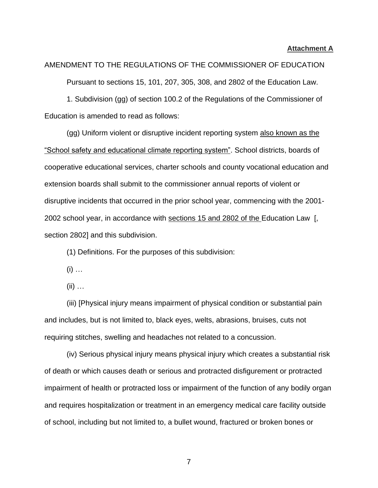#### **Attachment A**

AMENDMENT TO THE REGULATIONS OF THE COMMISSIONER OF EDUCATION Pursuant to sections 15, 101, 207, 305, 308, and 2802 of the Education Law. 1. Subdivision (gg) of section 100.2 of the Regulations of the Commissioner of Education is amended to read as follows:

2002 school year, in accordance with sections 15 and 2802 of the Education Law [, (gg) Uniform violent or disruptive incident reporting system also known as the "School safety and educational climate reporting system". School districts, boards of cooperative educational services, charter schools and county vocational education and extension boards shall submit to the commissioner annual reports of violent or disruptive incidents that occurred in the prior school year, commencing with the 2001 [section 2802\]](https://1.next.westlaw.com/Link/Document/FullText?findType=L&pubNum=1000069&cite=NYEDS2802&originatingDoc=I643BB8C001C611EBBB39971006BACD51&refType=LQ&originationContext=document&transitionType=DocumentItem&contextData=(sc.Category)) and this subdivision.

(1) Definitions. For the purposes of this subdivision:

 $(i)$  ...

(ii) …

(iii) [Physical injury means impairment of physical condition or substantial pain and includes, but is not limited to, black eyes, welts, abrasions, bruises, cuts not requiring stitches, swelling and headaches not related to a concussion.

(iv) Serious physical injury means physical injury which creates a substantial risk of death or which causes death or serious and protracted disfigurement or protracted impairment of health or protracted loss or impairment of the function of any bodily organ and requires hospitalization or treatment in an emergency medical care facility outside of school, including but not limited to, a bullet wound, fractured or broken bones or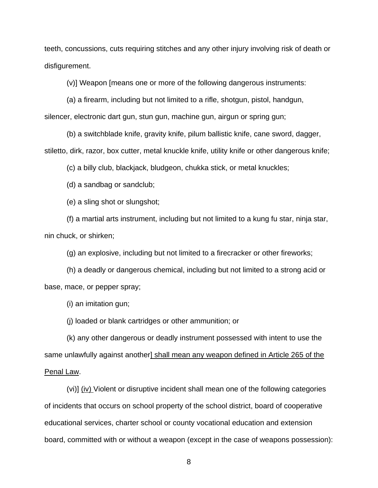teeth, concussions, cuts requiring stitches and any other injury involving risk of death or disfigurement.

(v)] Weapon [means one or more of the following dangerous instruments:

(a) a firearm, including but not limited to a rifle, shotgun, pistol, handgun,

silencer, electronic dart gun, stun gun, machine gun, airgun or spring gun;

(b) a switchblade knife, gravity knife, pilum ballistic knife, cane sword, dagger, stiletto, dirk, razor, box cutter, metal knuckle knife, utility knife or other dangerous knife;

(c) a billy club, blackjack, bludgeon, chukka stick, or metal knuckles;

(d) a sandbag or sandclub;

(e) a sling shot or slungshot;

(f) a martial arts instrument, including but not limited to a kung fu star, ninja star, nin chuck, or shirken;

(g) an explosive, including but not limited to a firecracker or other fireworks;

(h) a deadly or dangerous chemical, including but not limited to a strong acid or base, mace, or pepper spray;

(i) an imitation gun;

(j) loaded or blank cartridges or other ammunition; or

same unlawfully against another] shall mean any weapon defined in Article 265 of the (k) any other dangerous or deadly instrument possessed with intent to use the Penal Law.

(vi)] (iv) Violent or disruptive incident shall mean one of the following categories of incidents that occurs on school property of the school district, board of cooperative educational services, charter school or county vocational education and extension board, committed with or without a weapon (except in the case of weapons possession):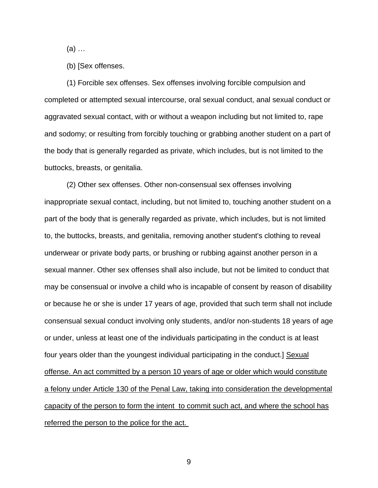(a) …

(b) [Sex offenses.

(1) Forcible sex offenses. Sex offenses involving forcible compulsion and completed or attempted sexual intercourse, oral sexual conduct, anal sexual conduct or aggravated sexual contact, with or without a weapon including but not limited to, rape and sodomy; or resulting from forcibly touching or grabbing another student on a part of the body that is generally regarded as private, which includes, but is not limited to the buttocks, breasts, or genitalia.

(2) Other sex offenses. Other non-consensual sex offenses involving inappropriate sexual contact, including, but not limited to, touching another student on a part of the body that is generally regarded as private, which includes, but is not limited to, the buttocks, breasts, and genitalia, removing another student's clothing to reveal underwear or private body parts, or brushing or rubbing against another person in a sexual manner. Other sex offenses shall also include, but not be limited to conduct that may be consensual or involve a child who is incapable of consent by reason of disability or because he or she is under 17 years of age, provided that such term shall not include consensual sexual conduct involving only students, and/or non-students 18 years of age or under, unless at least one of the individuals participating in the conduct is at least four years older than the youngest individual participating in the conduct.] Sexual offense. An act committed by a person 10 years of age or older which would constitute a felony under Article 130 of the Penal Law, taking into consideration the developmental capacity of the person to form the intent to commit such act, and where the school has referred the person to the police for the act.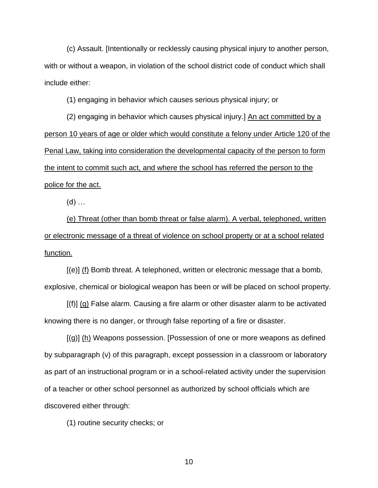(c) Assault. [Intentionally or recklessly causing physical injury to another person, with or without a weapon, in violation of the school district code of conduct which shall include either:

(1) engaging in behavior which causes serious physical injury; or

(2) engaging in behavior which causes physical injury.] An act committed by a person 10 years of age or older which would constitute a felony under Article 120 of the Penal Law, taking into consideration the developmental capacity of the person to form the intent to commit such act, and where the school has referred the person to the police for the act.

 $(d)$  ...

(e) Threat (other than bomb threat or false alarm). A verbal, telephoned, written or electronic message of a threat of violence on school property or at a school related function.

[(e)] (f) Bomb threat. A telephoned, written or electronic message that a bomb, explosive, chemical or biological weapon has been or will be placed on school property.

[(f)] (g) False alarm. Causing a fire alarm or other disaster alarm to be activated knowing there is no danger, or through false reporting of a fire or disaster.

[(g)] (h) Weapons possession. [Possession of one or more weapons as defined by subparagraph (v) of this paragraph, except possession in a classroom or laboratory as part of an instructional program or in a school-related activity under the supervision of a teacher or other school personnel as authorized by school officials which are discovered either through:

(1) routine security checks; or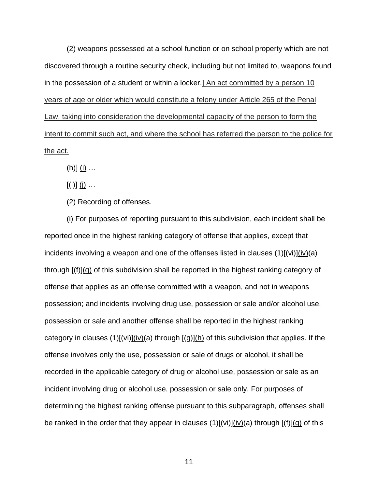(2) weapons possessed at a school function or on school property which are not discovered through a routine security check, including but not limited to, weapons found in the possession of a student or within a locker.] An act committed by a person 10 years of age or older which would constitute a felony under Article 265 of the Penal Law, taking into consideration the developmental capacity of the person to form the intent to commit such act, and where the school has referred the person to the police for the act.

(h)]  $(i)$  …

 $[(i)]$   $(i)$  …

(2) Recording of offenses.

(i) For purposes of reporting pursuant to this subdivision, each incident shall be reported once in the highest ranking category of offense that applies, except that incidents involving a weapon and one of the offenses listed in clauses (1)[(vi)](iv)(a) through [(f)](g) of this subdivision shall be reported in the highest ranking category of offense that applies as an offense committed with a weapon, and not in weapons possession; and incidents involving drug use, possession or sale and/or alcohol use, possession or sale and another offense shall be reported in the highest ranking category in clauses (1)[(vi)](iv)(a) through  $[(g)](h)$  of this subdivision that applies. If the offense involves only the use, possession or sale of drugs or alcohol, it shall be recorded in the applicable category of drug or alcohol use, possession or sale as an incident involving drug or alcohol use, possession or sale only. For purposes of determining the highest ranking offense pursuant to this subparagraph, offenses shall be ranked in the order that they appear in clauses  $(1)[(vi)](iv)(a)$  through  $[(f)](g)$  of this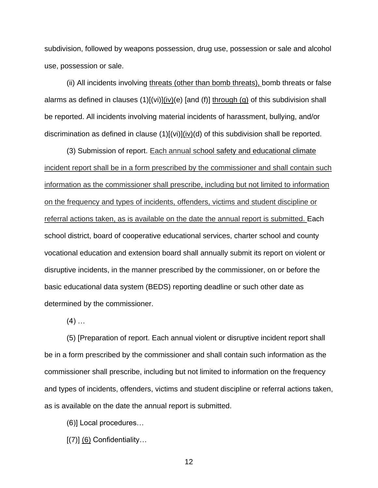subdivision, followed by weapons possession, drug use, possession or sale and alcohol use, possession or sale.

(ii) All incidents involving threats (other than bomb threats), bomb threats or false alarms as defined in clauses (1)[(vi)](iv)(e) [and (f)] through (g) of this subdivision shall be reported. All incidents involving material incidents of harassment, bullying, and/or discrimination as defined in clause  $(1)[(vi)](iv)(d)$  of this subdivision shall be reported.

(3) Submission of report. Each annual school safety and educational climate incident report shall be in a form prescribed by the commissioner and shall contain such information as the commissioner shall prescribe, including but not limited to information on the frequency and types of incidents, offenders, victims and student discipline or referral actions taken, as is available on the date the annual report is submitted. Each school district, board of cooperative educational services, charter school and county vocational education and extension board shall annually submit its report on violent or disruptive incidents, in the manner prescribed by the commissioner, on or before the basic educational data system (BEDS) reporting deadline or such other date as determined by the commissioner.

 $(4)$  ...

(5) [Preparation of report. Each annual violent or disruptive incident report shall be in a form prescribed by the commissioner and shall contain such information as the commissioner shall prescribe, including but not limited to information on the frequency and types of incidents, offenders, victims and student discipline or referral actions taken, as is available on the date the annual report is submitted.

(6)] Local procedures…

 $[(7)]$   $(6)$  Confidentiality...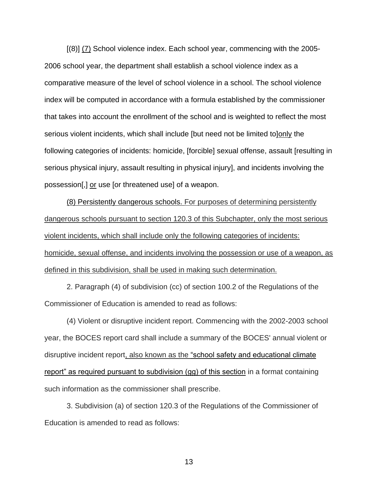[(8)] (7) School violence index. Each school year, commencing with the 2005- 2006 school year, the department shall establish a school violence index as a comparative measure of the level of school violence in a school. The school violence index will be computed in accordance with a formula established by the commissioner that takes into account the enrollment of the school and is weighted to reflect the most serious violent incidents, which shall include [but need not be limited to]only the following categories of incidents: homicide, [forcible] sexual offense, assault [resulting in serious physical injury, assault resulting in physical injury], and incidents involving the possession[,] or use [or threatened use] of a weapon.

(8) Persistently dangerous schools. For purposes of determining persistently dangerous schools pursuant to section 120.3 of this Subchapter, only the most serious violent incidents, which shall include only the following categories of incidents: homicide, sexual offense, and incidents involving the possession or use of a weapon, as defined in this subdivision, shall be used in making such determination.

2. Paragraph (4) of subdivision (cc) of section 100.2 of the Regulations of the Commissioner of Education is amended to read as follows:

(4) Violent or disruptive incident report. Commencing with the 2002-2003 school year, the BOCES report card shall include a summary of the BOCES' annual violent or disruptive incident report, also known as the "school safety and educational climate report" as required pursuant to subdivision (gg) of this section in a format containing such information as the commissioner shall prescribe.

3. Subdivision (a) of section 120.3 of the Regulations of the Commissioner of Education is amended to read as follows: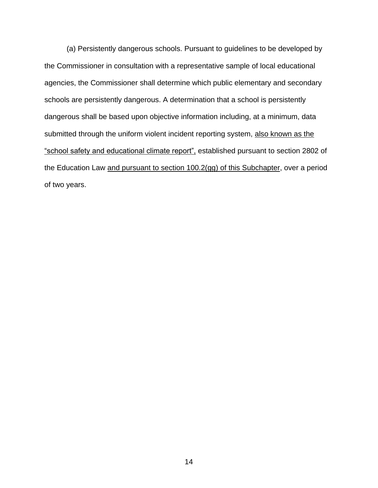(a) Persistently dangerous schools. Pursuant to guidelines to be developed by the Commissioner in consultation with a representative sample of local educational agencies, the Commissioner shall determine which public elementary and secondary schools are persistently dangerous. A determination that a school is persistently dangerous shall be based upon objective information including, at a minimum, data submitted through the uniform violent incident reporting system, also known as the "school safety and educational climate report", established pursuant to [section 2802 of](https://1.next.westlaw.com/Link/Document/FullText?findType=L&pubNum=1000069&cite=NYEDS2802&originatingDoc=I92347FC8C90F4E89B93673ACB6A539B7&refType=LQ&originationContext=document&transitionType=DocumentItem&contextData=(sc.Category))  [the Education Law](https://1.next.westlaw.com/Link/Document/FullText?findType=L&pubNum=1000069&cite=NYEDS2802&originatingDoc=I92347FC8C90F4E89B93673ACB6A539B7&refType=LQ&originationContext=document&transitionType=DocumentItem&contextData=(sc.Category)) and pursuant to section 100.2(gg) of this Subchapter, over a period of two years.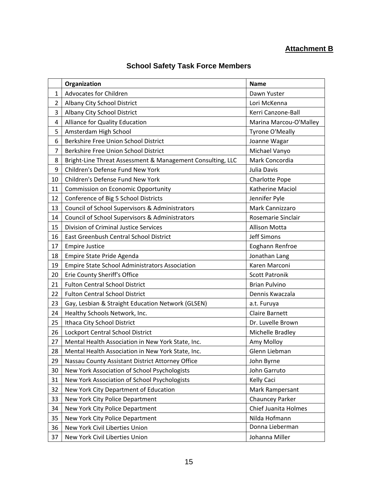# **Attachment B**

# **School Safety Task Force Members**

|                | Organization                                               | <b>Name</b>            |
|----------------|------------------------------------------------------------|------------------------|
| $\mathbf{1}$   | <b>Advocates for Children</b>                              | Dawn Yuster            |
| $\overline{2}$ | Albany City School District                                | Lori McKenna           |
| 3              | Albany City School District                                | Kerri Canzone-Ball     |
| 4              | Alliance for Quality Education                             | Marina Marcou-O'Malley |
| 5              | Amsterdam High School                                      | <b>Tyrone O'Meally</b> |
| 6              | Berkshire Free Union School District                       | Joanne Wagar           |
| 7              | Berkshire Free Union School District                       | Michael Vanyo          |
| 8              | Bright-Line Threat Assessment & Management Consulting, LLC | Mark Concordia         |
| 9              | Children's Defense Fund New York                           | Julia Davis            |
| 10             | Children's Defense Fund New York                           | Charlotte Pope         |
| 11             | <b>Commission on Economic Opportunity</b>                  | Katherine Maciol       |
| 12             | Conference of Big 5 School Districts                       | Jennifer Pyle          |
| 13             | Council of School Supervisors & Administrators             | Mark Cannizzaro        |
| 14             | Council of School Supervisors & Administrators             | Rosemarie Sinclair     |
| 15             | <b>Division of Criminal Justice Services</b>               | <b>Allison Motta</b>   |
| 16             | East Greenbush Central School District                     | Jeff Simons            |
| 17             | <b>Empire Justice</b>                                      | Eoghann Renfroe        |
| 18             | Empire State Pride Agenda                                  | Jonathan Lang          |
| 19             | <b>Empire State School Administrators Association</b>      | Karen Marconi          |
| 20             | Erie County Sheriff's Office                               | <b>Scott Patronik</b>  |
| 21             | <b>Fulton Central School District</b>                      | <b>Brian Pulvino</b>   |
| 22             | <b>Fulton Central School District</b>                      | Dennis Kwaczala        |
| 23             | Gay, Lesbian & Straight Education Network (GLSEN)          | a.t. Furuya            |
| 24             | Healthy Schools Network, Inc.                              | <b>Claire Barnett</b>  |
| 25             | Ithaca City School District                                | Dr. Luvelle Brown      |
| 26             | Lockport Central School District                           | Michelle Bradley       |
| 27             | Mental Health Association in New York State, Inc.          | Amy Molloy             |
| 28             | Mental Health Association in New York State, Inc.          | Glenn Liebman          |
| 29             | Nassau County Assistant District Attorney Office           | John Byrne             |
| 30             | New York Association of School Psychologists               | John Garruto           |
| 31             | New York Association of School Psychologists               | Kelly Caci             |
| 32             | New York City Department of Education                      | Mark Rampersant        |
| 33             | New York City Police Department                            | Chauncey Parker        |
| 34             | New York City Police Department                            | Chief Juanita Holmes   |
| 35             | New York City Police Department                            | Nilda Hofmann          |
| 36             | New York Civil Liberties Union                             | Donna Lieberman        |
| 37             | New York Civil Liberties Union                             | Johanna Miller         |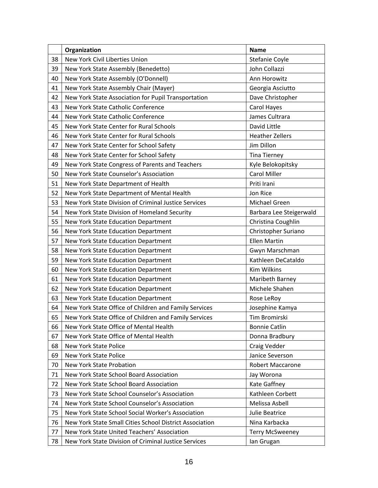|    | Organization                                            | <b>Name</b>             |
|----|---------------------------------------------------------|-------------------------|
| 38 | New York Civil Liberties Union                          | Stefanie Coyle          |
| 39 | New York State Assembly (Benedetto)                     | John Collazzi           |
| 40 | New York State Assembly (O'Donnell)                     | Ann Horowitz            |
| 41 | New York State Assembly Chair (Mayer)                   | Georgia Asciutto        |
| 42 | New York State Association for Pupil Transportation     | Dave Christopher        |
| 43 | New York State Catholic Conference                      | Carol Hayes             |
| 44 | New York State Catholic Conference                      | James Cultrara          |
| 45 | New York State Center for Rural Schools                 | David Little            |
| 46 | New York State Center for Rural Schools                 | <b>Heather Zellers</b>  |
| 47 | New York State Center for School Safety                 | Jim Dillon              |
| 48 | New York State Center for School Safety                 | <b>Tina Tierney</b>     |
| 49 | New York State Congress of Parents and Teachers         | Kyle Belokopitsky       |
| 50 | New York State Counselor's Association                  | <b>Carol Miller</b>     |
| 51 | New York State Department of Health                     | Priti Irani             |
| 52 | New York State Department of Mental Health              | Jon Rice                |
| 53 | New York State Division of Criminal Justice Services    | Michael Green           |
| 54 | New York State Division of Homeland Security            | Barbara Lee Steigerwald |
| 55 | New York State Education Department                     | Christina Coughlin      |
| 56 | New York State Education Department                     | Christopher Suriano     |
| 57 | New York State Education Department                     | <b>Ellen Martin</b>     |
| 58 | New York State Education Department                     | Gwyn Marschman          |
| 59 | New York State Education Department                     | Kathleen DeCataldo      |
| 60 | New York State Education Department                     | <b>Kim Wilkins</b>      |
| 61 | New York State Education Department                     | Maribeth Barney         |
| 62 | New York State Education Department                     | Michele Shahen          |
| 63 | New York State Education Department                     | Rose LeRoy              |
| 64 | New York State Office of Children and Family Services   | Josephine Kamya         |
| 65 | New York State Office of Children and Family Services   | Tim Bromirski           |
| 66 | New York State Office of Mental Health                  | <b>Bonnie Catlin</b>    |
| 67 | New York State Office of Mental Health                  | Donna Bradbury          |
| 68 | <b>New York State Police</b>                            | Craig Vedder            |
| 69 | New York State Police                                   | Janice Severson         |
| 70 | New York State Probation                                | Robert Maccarone        |
| 71 | New York State School Board Association                 | Jay Worona              |
| 72 | New York State School Board Association                 | Kate Gaffney            |
| 73 | New York State School Counselor's Association           | Kathleen Corbett        |
| 74 | New York State School Counselor's Association           | Melissa Asbell          |
| 75 | New York State School Social Worker's Association       | Julie Beatrice          |
| 76 | New York State Small Cities School District Association | Nina Karbacka           |
| 77 | New York State United Teachers' Association             | <b>Terry McSweeney</b>  |
| 78 | New York State Division of Criminal Justice Services    | lan Grugan              |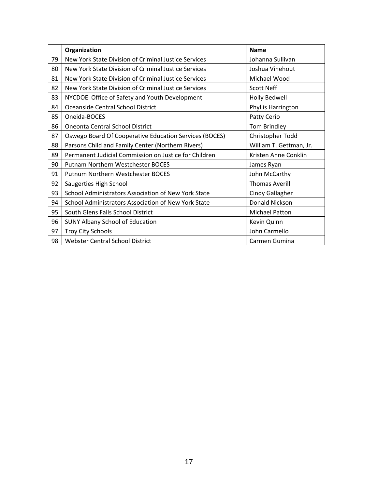|    | Organization                                           | <b>Name</b>             |
|----|--------------------------------------------------------|-------------------------|
| 79 | New York State Division of Criminal Justice Services   | Johanna Sullivan        |
| 80 | New York State Division of Criminal Justice Services   | Joshua Vinehout         |
| 81 | New York State Division of Criminal Justice Services   | Michael Wood            |
| 82 | New York State Division of Criminal Justice Services   | <b>Scott Neff</b>       |
| 83 | NYCDOE Office of Safety and Youth Development          | <b>Holly Bedwell</b>    |
| 84 | Oceanside Central School District                      | Phyllis Harrington      |
| 85 | Oneida-BOCES                                           | Patty Cerio             |
| 86 | <b>Oneonta Central School District</b>                 | Tom Brindley            |
| 87 | Oswego Board Of Cooperative Education Services (BOCES) | Christopher Todd        |
| 88 | Parsons Child and Family Center (Northern Rivers)      | William T. Gettman, Jr. |
| 89 | Permanent Judicial Commission on Justice for Children  | Kristen Anne Conklin    |
| 90 | Putnam Northern Westchester BOCES                      | James Ryan              |
| 91 | <b>Putnum Northern Westchester BOCES</b>               | John McCarthy           |
| 92 | Saugerties High School                                 | <b>Thomas Averill</b>   |
| 93 | School Administrators Association of New York State    | <b>Cindy Gallagher</b>  |
| 94 | School Administrators Association of New York State    | Donald Nickson          |
| 95 | South Glens Falls School District                      | Michael Patton          |
| 96 | <b>SUNY Albany School of Education</b>                 | Kevin Quinn             |
| 97 | <b>Troy City Schools</b>                               | John Carmello           |
| 98 | <b>Webster Central School District</b>                 | Carmen Gumina           |